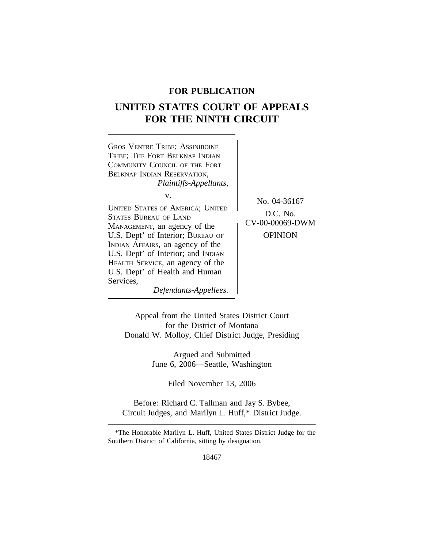# **FOR PUBLICATION**

# **UNITED STATES COURT OF APPEALS FOR THE NINTH CIRCUIT**



Appeal from the United States District Court for the District of Montana Donald W. Molloy, Chief District Judge, Presiding

> Argued and Submitted June 6, 2006—Seattle, Washington

> > Filed November 13, 2006

Before: Richard C. Tallman and Jay S. Bybee, Circuit Judges, and Marilyn L. Huff,\* District Judge.

<sup>\*</sup>The Honorable Marilyn L. Huff, United States District Judge for the Southern District of California, sitting by designation.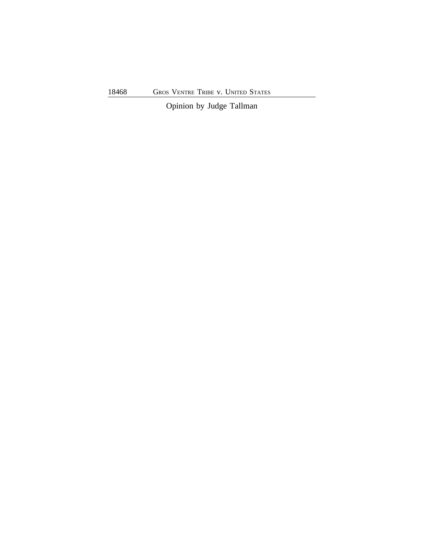Opinion by Judge Tallman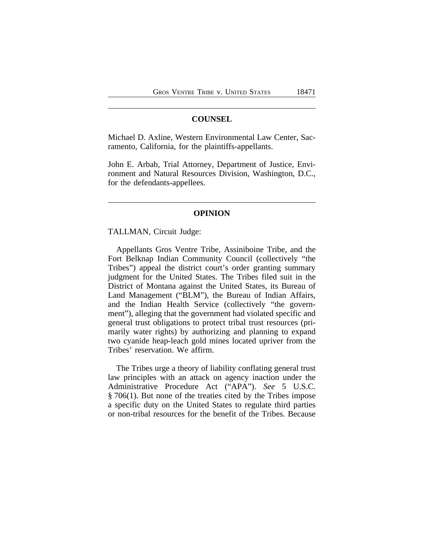### **COUNSEL**

Michael D. Axline, Western Environmental Law Center, Sacramento, California, for the plaintiffs-appellants.

John E. Arbab, Trial Attorney, Department of Justice, Environment and Natural Resources Division, Washington, D.C., for the defendants-appellees.

# **OPINION**

#### TALLMAN, Circuit Judge:

Appellants Gros Ventre Tribe, Assiniboine Tribe, and the Fort Belknap Indian Community Council (collectively "the Tribes") appeal the district court's order granting summary judgment for the United States. The Tribes filed suit in the District of Montana against the United States, its Bureau of Land Management ("BLM"), the Bureau of Indian Affairs, and the Indian Health Service (collectively "the government"), alleging that the government had violated specific and general trust obligations to protect tribal trust resources (primarily water rights) by authorizing and planning to expand two cyanide heap-leach gold mines located upriver from the Tribes' reservation. We affirm.

The Tribes urge a theory of liability conflating general trust law principles with an attack on agency inaction under the Administrative Procedure Act ("APA"). *See* 5 U.S.C. § 706(1). But none of the treaties cited by the Tribes impose a specific duty on the United States to regulate third parties or non-tribal resources for the benefit of the Tribes. Because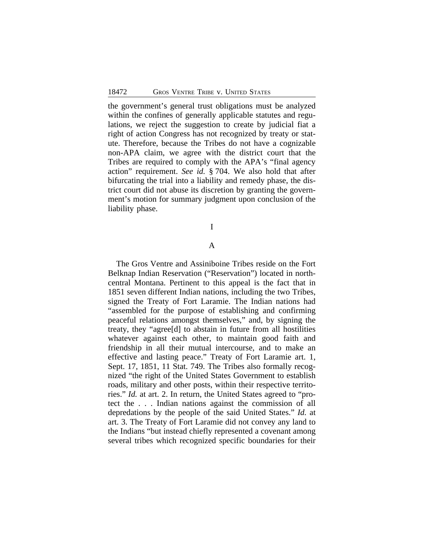the government's general trust obligations must be analyzed within the confines of generally applicable statutes and regulations, we reject the suggestion to create by judicial fiat a right of action Congress has not recognized by treaty or statute. Therefore, because the Tribes do not have a cognizable non-APA claim, we agree with the district court that the Tribes are required to comply with the APA's "final agency action" requirement. *See id.* § 704. We also hold that after bifurcating the trial into a liability and remedy phase, the district court did not abuse its discretion by granting the government's motion for summary judgment upon conclusion of the liability phase.

# I

#### A

The Gros Ventre and Assiniboine Tribes reside on the Fort Belknap Indian Reservation ("Reservation") located in northcentral Montana. Pertinent to this appeal is the fact that in 1851 seven different Indian nations, including the two Tribes, signed the Treaty of Fort Laramie. The Indian nations had "assembled for the purpose of establishing and confirming peaceful relations amongst themselves," and, by signing the treaty, they "agree[d] to abstain in future from all hostilities whatever against each other, to maintain good faith and friendship in all their mutual intercourse, and to make an effective and lasting peace." Treaty of Fort Laramie art. 1, Sept. 17, 1851, 11 Stat. 749. The Tribes also formally recognized "the right of the United States Government to establish roads, military and other posts, within their respective territories." *Id.* at art. 2. In return, the United States agreed to "protect the . . . Indian nations against the commission of all depredations by the people of the said United States." *Id.* at art. 3. The Treaty of Fort Laramie did not convey any land to the Indians "but instead chiefly represented a covenant among several tribes which recognized specific boundaries for their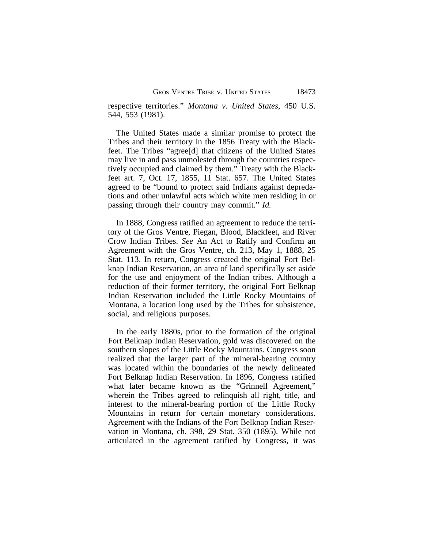respective territories." *Montana v. United States*, 450 U.S. 544, 553 (1981).

The United States made a similar promise to protect the Tribes and their territory in the 1856 Treaty with the Blackfeet. The Tribes "agree[d] that citizens of the United States may live in and pass unmolested through the countries respectively occupied and claimed by them." Treaty with the Blackfeet art. 7, Oct. 17, 1855, 11 Stat. 657. The United States agreed to be "bound to protect said Indians against depredations and other unlawful acts which white men residing in or passing through their country may commit." *Id.*

In 1888, Congress ratified an agreement to reduce the territory of the Gros Ventre, Piegan, Blood, Blackfeet, and River Crow Indian Tribes. *See* An Act to Ratify and Confirm an Agreement with the Gros Ventre, ch. 213, May 1, 1888, 25 Stat. 113. In return, Congress created the original Fort Belknap Indian Reservation, an area of land specifically set aside for the use and enjoyment of the Indian tribes. Although a reduction of their former territory, the original Fort Belknap Indian Reservation included the Little Rocky Mountains of Montana, a location long used by the Tribes for subsistence, social, and religious purposes.

In the early 1880s, prior to the formation of the original Fort Belknap Indian Reservation, gold was discovered on the southern slopes of the Little Rocky Mountains. Congress soon realized that the larger part of the mineral-bearing country was located within the boundaries of the newly delineated Fort Belknap Indian Reservation. In 1896, Congress ratified what later became known as the "Grinnell Agreement," wherein the Tribes agreed to relinquish all right, title, and interest to the mineral-bearing portion of the Little Rocky Mountains in return for certain monetary considerations. Agreement with the Indians of the Fort Belknap Indian Reservation in Montana, ch. 398, 29 Stat. 350 (1895). While not articulated in the agreement ratified by Congress, it was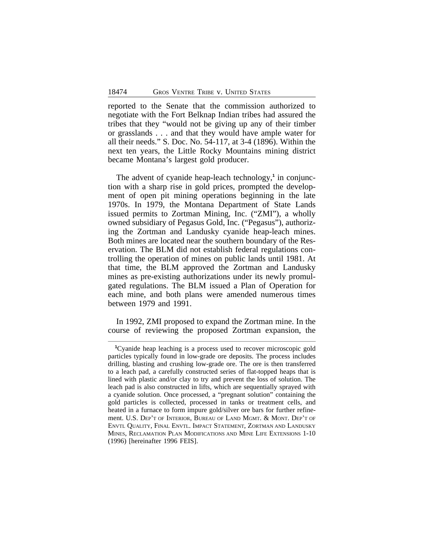reported to the Senate that the commission authorized to negotiate with the Fort Belknap Indian tribes had assured the tribes that they "would not be giving up any of their timber or grasslands . . . and that they would have ample water for all their needs." S. Doc. No. 54-117, at 3-4 (1896). Within the next ten years, the Little Rocky Mountains mining district became Montana's largest gold producer.

The advent of cyanide heap-leach technology,**<sup>1</sup>** in conjunction with a sharp rise in gold prices, prompted the development of open pit mining operations beginning in the late 1970s. In 1979, the Montana Department of State Lands issued permits to Zortman Mining, Inc. ("ZMI"), a wholly owned subsidiary of Pegasus Gold, Inc. ("Pegasus"), authorizing the Zortman and Landusky cyanide heap-leach mines. Both mines are located near the southern boundary of the Reservation. The BLM did not establish federal regulations controlling the operation of mines on public lands until 1981. At that time, the BLM approved the Zortman and Landusky mines as pre-existing authorizations under its newly promulgated regulations. The BLM issued a Plan of Operation for each mine, and both plans were amended numerous times between 1979 and 1991.

In 1992, ZMI proposed to expand the Zortman mine. In the course of reviewing the proposed Zortman expansion, the

**<sup>1</sup>**Cyanide heap leaching is a process used to recover microscopic gold particles typically found in low-grade ore deposits. The process includes drilling, blasting and crushing low-grade ore. The ore is then transferred to a leach pad, a carefully constructed series of flat-topped heaps that is lined with plastic and/or clay to try and prevent the loss of solution. The leach pad is also constructed in lifts, which are sequentially sprayed with a cyanide solution. Once processed, a "pregnant solution" containing the gold particles is collected, processed in tanks or treatment cells, and heated in a furnace to form impure gold/silver ore bars for further refinement. U.S. DEP'T OF INTERIOR, BUREAU OF LAND MGMT. & MONT. DEP'T OF ENVTL QUALITY, FINAL ENVTL. IMPACT STATEMENT, ZORTMAN AND LANDUSKY MINES, RECLAMATION PLAN MODIFICATIONS AND MINE LIFE EXTENSIONS 1-10 (1996) [hereinafter 1996 FEIS].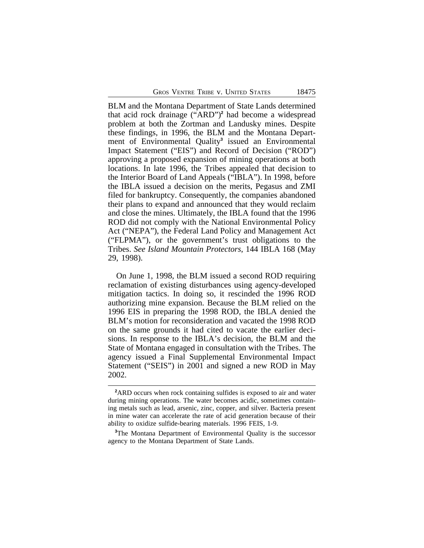BLM and the Montana Department of State Lands determined that acid rock drainage ("ARD")**<sup>2</sup>** had become a widespread problem at both the Zortman and Landusky mines. Despite these findings, in 1996, the BLM and the Montana Department of Environmental Quality**<sup>3</sup>** issued an Environmental Impact Statement ("EIS") and Record of Decision ("ROD") approving a proposed expansion of mining operations at both locations. In late 1996, the Tribes appealed that decision to the Interior Board of Land Appeals ("IBLA"). In 1998, before the IBLA issued a decision on the merits, Pegasus and ZMI filed for bankruptcy. Consequently, the companies abandoned their plans to expand and announced that they would reclaim and close the mines. Ultimately, the IBLA found that the 1996 ROD did not comply with the National Environmental Policy Act ("NEPA"), the Federal Land Policy and Management Act ("FLPMA"), or the government's trust obligations to the Tribes. *See Island Mountain Protectors*, 144 IBLA 168 (May 29, 1998).

On June 1, 1998, the BLM issued a second ROD requiring reclamation of existing disturbances using agency-developed mitigation tactics. In doing so, it rescinded the 1996 ROD authorizing mine expansion. Because the BLM relied on the 1996 EIS in preparing the 1998 ROD, the IBLA denied the BLM's motion for reconsideration and vacated the 1998 ROD on the same grounds it had cited to vacate the earlier decisions. In response to the IBLA's decision, the BLM and the State of Montana engaged in consultation with the Tribes. The agency issued a Final Supplemental Environmental Impact Statement ("SEIS") in 2001 and signed a new ROD in May 2002.

**<sup>2</sup>**ARD occurs when rock containing sulfides is exposed to air and water during mining operations. The water becomes acidic, sometimes containing metals such as lead, arsenic, zinc, copper, and silver. Bacteria present in mine water can accelerate the rate of acid generation because of their ability to oxidize sulfide-bearing materials. 1996 FEIS, 1-9.

**<sup>3</sup>**The Montana Department of Environmental Quality is the successor agency to the Montana Department of State Lands.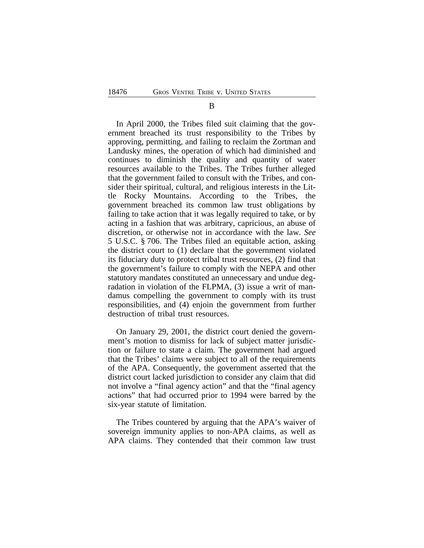#### B

In April 2000, the Tribes filed suit claiming that the government breached its trust responsibility to the Tribes by approving, permitting, and failing to reclaim the Zortman and Landusky mines, the operation of which had diminished and continues to diminish the quality and quantity of water resources available to the Tribes. The Tribes further alleged that the government failed to consult with the Tribes, and consider their spiritual, cultural, and religious interests in the Little Rocky Mountains. According to the Tribes, the government breached its common law trust obligations by failing to take action that it was legally required to take, or by acting in a fashion that was arbitrary, capricious, an abuse of discretion, or otherwise not in accordance with the law. *See* 5 U.S.C. § 706. The Tribes filed an equitable action, asking the district court to (1) declare that the government violated its fiduciary duty to protect tribal trust resources, (2) find that the government's failure to comply with the NEPA and other statutory mandates constituted an unnecessary and undue degradation in violation of the FLPMA, (3) issue a writ of mandamus compelling the government to comply with its trust responsibilities, and (4) enjoin the government from further destruction of tribal trust resources.

On January 29, 2001, the district court denied the government's motion to dismiss for lack of subject matter jurisdiction or failure to state a claim. The government had argued that the Tribes' claims were subject to all of the requirements of the APA. Consequently, the government asserted that the district court lacked jurisdiction to consider any claim that did not involve a "final agency action" and that the "final agency actions" that had occurred prior to 1994 were barred by the six-year statute of limitation.

The Tribes countered by arguing that the APA's waiver of sovereign immunity applies to non-APA claims, as well as APA claims. They contended that their common law trust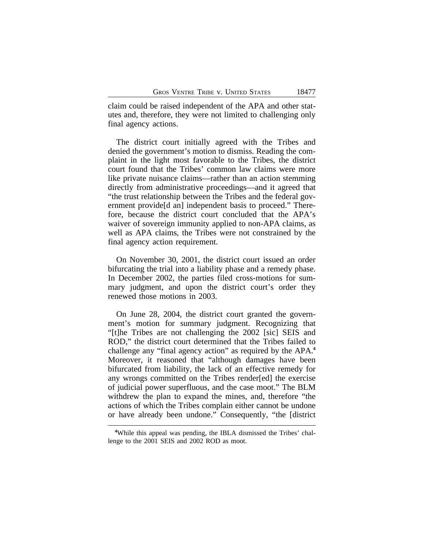claim could be raised independent of the APA and other statutes and, therefore, they were not limited to challenging only final agency actions.

The district court initially agreed with the Tribes and denied the government's motion to dismiss. Reading the complaint in the light most favorable to the Tribes, the district court found that the Tribes' common law claims were more like private nuisance claims—rather than an action stemming directly from administrative proceedings—and it agreed that "the trust relationship between the Tribes and the federal government provide[d an] independent basis to proceed." Therefore, because the district court concluded that the APA's waiver of sovereign immunity applied to non-APA claims, as well as APA claims, the Tribes were not constrained by the final agency action requirement.

On November 30, 2001, the district court issued an order bifurcating the trial into a liability phase and a remedy phase. In December 2002, the parties filed cross-motions for summary judgment, and upon the district court's order they renewed those motions in 2003.

On June 28, 2004, the district court granted the government's motion for summary judgment. Recognizing that "[t]he Tribes are not challenging the 2002 [sic] SEIS and ROD," the district court determined that the Tribes failed to challenge any "final agency action" as required by the APA.**<sup>4</sup>** Moreover, it reasoned that "although damages have been bifurcated from liability, the lack of an effective remedy for any wrongs committed on the Tribes render[ed] the exercise of judicial power superfluous, and the case moot." The BLM withdrew the plan to expand the mines, and, therefore "the actions of which the Tribes complain either cannot be undone or have already been undone." Consequently, "the [district

**<sup>4</sup>**While this appeal was pending, the IBLA dismissed the Tribes' challenge to the 2001 SEIS and 2002 ROD as moot.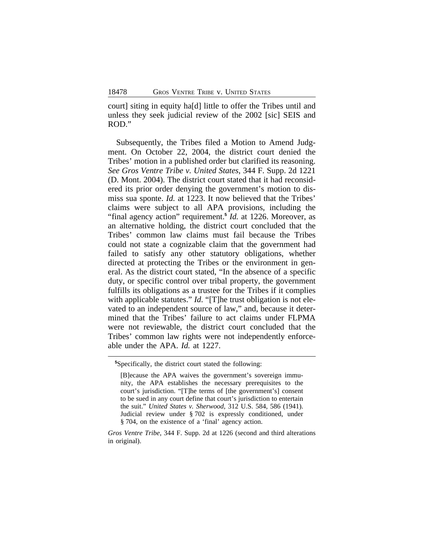court] siting in equity ha[d] little to offer the Tribes until and unless they seek judicial review of the 2002 [sic] SEIS and ROD."

Subsequently, the Tribes filed a Motion to Amend Judgment. On October 22, 2004, the district court denied the Tribes' motion in a published order but clarified its reasoning. *See Gros Ventre Tribe v. United States*, 344 F. Supp. 2d 1221 (D. Mont. 2004). The district court stated that it had reconsidered its prior order denying the government's motion to dismiss sua sponte. *Id.* at 1223. It now believed that the Tribes' claims were subject to all APA provisions, including the "final agency action" requirement.**<sup>5</sup>** *Id.* at 1226. Moreover, as an alternative holding, the district court concluded that the Tribes' common law claims must fail because the Tribes could not state a cognizable claim that the government had failed to satisfy any other statutory obligations, whether directed at protecting the Tribes or the environment in general. As the district court stated, "In the absence of a specific duty, or specific control over tribal property, the government fulfills its obligations as a trustee for the Tribes if it complies with applicable statutes." *Id.* "[T]he trust obligation is not elevated to an independent source of law," and, because it determined that the Tribes' failure to act claims under FLPMA were not reviewable, the district court concluded that the Tribes' common law rights were not independently enforceable under the APA. *Id.* at 1227.

**<sup>5</sup>**Specifically, the district court stated the following:

<sup>[</sup>B]ecause the APA waives the government's sovereign immunity, the APA establishes the necessary prerequisites to the court's jurisdiction. "[T]he terms of [the government's] consent to be sued in any court define that court's jurisdiction to entertain the suit." *United States v. Sherwood*, 312 U.S. 584, 586 (1941). Judicial review under § 702 is expressly conditioned, under § 704, on the existence of a 'final' agency action.

*Gros Ventre Tribe*, 344 F. Supp. 2d at 1226 (second and third alterations in original).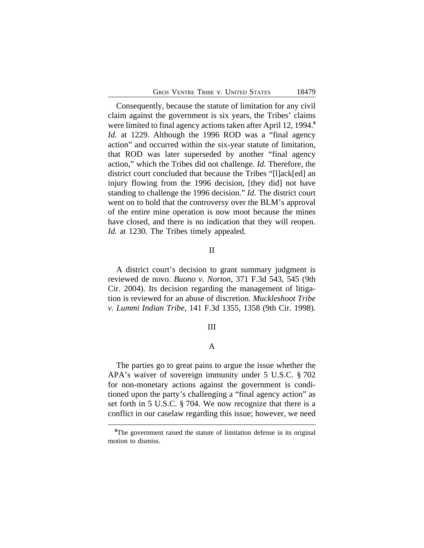Consequently, because the statute of limitation for any civil claim against the government is six years, the Tribes' claims were limited to final agency actions taken after April 12, 1994.**<sup>6</sup>** *Id.* at 1229. Although the 1996 ROD was a "final agency action" and occurred within the six-year statute of limitation, that ROD was later superseded by another "final agency action," which the Tribes did not challenge. *Id.* Therefore, the district court concluded that because the Tribes "[l]ack[ed] an injury flowing from the 1996 decision, [they did] not have standing to challenge the 1996 decision." *Id.* The district court went on to hold that the controversy over the BLM's approval of the entire mine operation is now moot because the mines have closed, and there is no indication that they will reopen. *Id.* at 1230. The Tribes timely appealed.

## II

A district court's decision to grant summary judgment is reviewed de novo. *Buono v. Norton*, 371 F.3d 543, 545 (9th Cir. 2004). Its decision regarding the management of litigation is reviewed for an abuse of discretion. *Muckleshoot Tribe v. Lummi Indian Tribe*, 141 F.3d 1355, 1358 (9th Cir. 1998).

### III

# A

The parties go to great pains to argue the issue whether the APA's waiver of sovereign immunity under 5 U.S.C. § 702 for non-monetary actions against the government is conditioned upon the party's challenging a "final agency action" as set forth in 5 U.S.C. § 704. We now recognize that there is a conflict in our caselaw regarding this issue; however, we need

**<sup>6</sup>**The government raised the statute of limitation defense in its original motion to dismiss.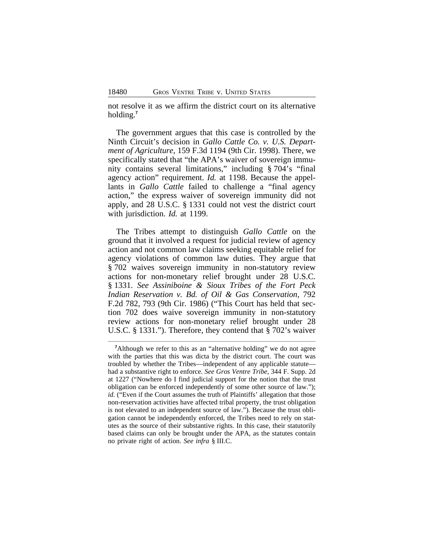not resolve it as we affirm the district court on its alternative holding.**<sup>7</sup>**

The government argues that this case is controlled by the Ninth Circuit's decision in *Gallo Cattle Co. v. U.S. Department of Agriculture*, 159 F.3d 1194 (9th Cir. 1998). There, we specifically stated that "the APA's waiver of sovereign immunity contains several limitations," including § 704's "final agency action" requirement. *Id.* at 1198. Because the appellants in *Gallo Cattle* failed to challenge a "final agency action," the express waiver of sovereign immunity did not apply, and 28 U.S.C. § 1331 could not vest the district court with jurisdiction. *Id.* at 1199.

The Tribes attempt to distinguish *Gallo Cattle* on the ground that it involved a request for judicial review of agency action and not common law claims seeking equitable relief for agency violations of common law duties. They argue that § 702 waives sovereign immunity in non-statutory review actions for non-monetary relief brought under 28 U.S.C. § 1331. *See Assiniboine & Sioux Tribes of the Fort Peck Indian Reservation v. Bd. of Oil & Gas Conservation*, 792 F.2d 782, 793 (9th Cir. 1986) ("This Court has held that section 702 does waive sovereign immunity in non-statutory review actions for non-monetary relief brought under 28 U.S.C. § 1331."). Therefore, they contend that § 702's waiver

<sup>&</sup>lt;sup>7</sup>Although we refer to this as an "alternative holding" we do not agree with the parties that this was dicta by the district court. The court was troubled by whether the Tribes—independent of any applicable statute had a substantive right to enforce. *See Gros Ventre Tribe*, 344 F. Supp. 2d at 1227 ("Nowhere do I find judicial support for the notion that the trust obligation can be enforced independently of some other source of law."); *id.* ("Even if the Court assumes the truth of Plaintiffs' allegation that those non-reservation activities have affected tribal property, the trust obligation is not elevated to an independent source of law."). Because the trust obligation cannot be independently enforced, the Tribes need to rely on statutes as the source of their substantive rights. In this case, their statutorily based claims can only be brought under the APA, as the statutes contain no private right of action. *See infra* § III.C.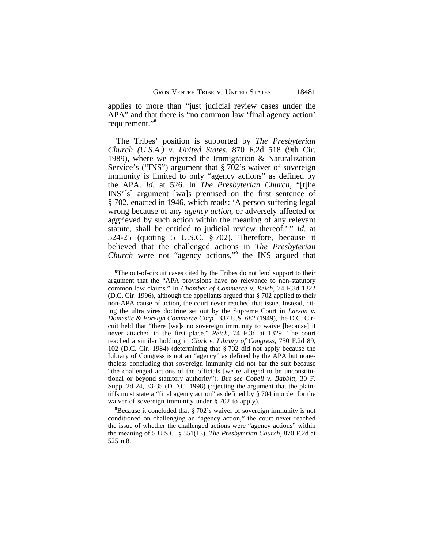applies to more than "just judicial review cases under the APA" and that there is "no common law 'final agency action' requirement." **8**

The Tribes' position is supported by *The Presbyterian Church (U.S.A.) v. United States*, 870 F.2d 518 (9th Cir. 1989), where we rejected the Immigration & Naturalization Service's ("INS") argument that § 702's waiver of sovereign immunity is limited to only "agency actions" as defined by the APA. *Id.* at 526. In *The Presbyterian Church*, "[t]he INS'[s] argument [wa]s premised on the first sentence of § 702, enacted in 1946, which reads: 'A person suffering legal wrong because of any *agency action*, or adversely affected or aggrieved by such action within the meaning of any relevant statute, shall be entitled to judicial review thereof.' " *Id.* at 524-25 (quoting 5 U.S.C. § 702). Therefore, because it believed that the challenged actions in *The Presbyterian Church* were not "agency actions," **9** the INS argued that

**<sup>9</sup>**Because it concluded that § 702's waiver of sovereign immunity is not conditioned on challenging an "agency action," the court never reached the issue of whether the challenged actions were "agency actions" within the meaning of 5 U.S.C. § 551(13). *The Presbyterian Church*, 870 F.2d at 525 n.8.

<sup>&</sup>lt;sup>8</sup>The out-of-circuit cases cited by the Tribes do not lend support to their argument that the "APA provisions have no relevance to non-statutory common law claims." In *Chamber of Commerce v. Reich*, 74 F.3d 1322 (D.C. Cir. 1996), although the appellants argued that § 702 applied to their non-APA cause of action, the court never reached that issue. Instead, citing the ultra vires doctrine set out by the Supreme Court in *Larson v. Domestic & Foreign Commerce Corp*., 337 U.S. 682 (1949), the D.C. Circuit held that "there [wa]s no sovereign immunity to waive [because] it never attached in the first place." *Reich*, 74 F.3d at 1329. The court reached a similar holding in *Clark v. Library of Congress*, 750 F.2d 89, 102 (D.C. Cir. 1984) (determining that § 702 did not apply because the Library of Congress is not an "agency" as defined by the APA but nonetheless concluding that sovereign immunity did not bar the suit because "the challenged actions of the officials [we]re alleged to be unconstitutional or beyond statutory authority"). *But see Cobell v. Babbitt*, 30 F. Supp. 2d 24, 33-35 (D.D.C. 1998) (rejecting the argument that the plaintiffs must state a "final agency action" as defined by § 704 in order for the waiver of sovereign immunity under § 702 to apply).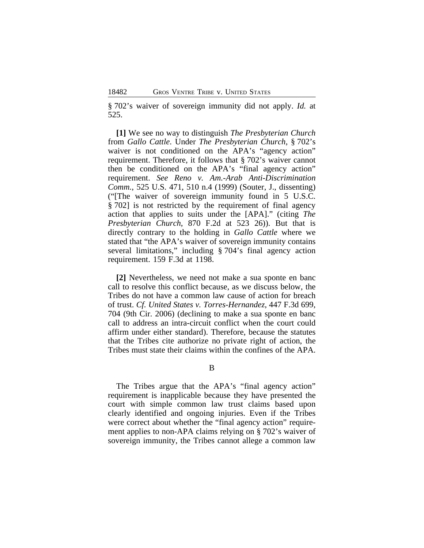§ 702's waiver of sovereign immunity did not apply. *Id.* at 525.

**[1]** We see no way to distinguish *The Presbyterian Church* from *Gallo Cattle*. Under *The Presbyterian Church*, § 702's waiver is not conditioned on the APA's "agency action" requirement. Therefore, it follows that § 702's waiver cannot then be conditioned on the APA's "final agency action" requirement. *See Reno v. Am.-Arab Anti-Discrimination Comm.*, 525 U.S. 471, 510 n.4 (1999) (Souter, J., dissenting) ("[The waiver of sovereign immunity found in 5 U.S.C. § 702] is not restricted by the requirement of final agency action that applies to suits under the [APA]." (citing *The Presbyterian Church*, 870 F.2d at 523 26)). But that is directly contrary to the holding in *Gallo Cattle* where we stated that "the APA's waiver of sovereign immunity contains several limitations," including § 704's final agency action requirement. 159 F.3d at 1198.

**[2]** Nevertheless, we need not make a sua sponte en banc call to resolve this conflict because, as we discuss below, the Tribes do not have a common law cause of action for breach of trust. *Cf. United States v. Torres-Hernandez*, 447 F.3d 699, 704 (9th Cir. 2006) (declining to make a sua sponte en banc call to address an intra-circuit conflict when the court could affirm under either standard). Therefore, because the statutes that the Tribes cite authorize no private right of action, the Tribes must state their claims within the confines of the APA.

#### B

The Tribes argue that the APA's "final agency action" requirement is inapplicable because they have presented the court with simple common law trust claims based upon clearly identified and ongoing injuries. Even if the Tribes were correct about whether the "final agency action" requirement applies to non-APA claims relying on § 702's waiver of sovereign immunity, the Tribes cannot allege a common law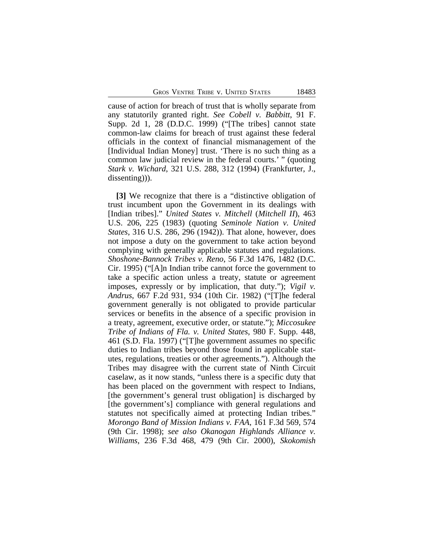cause of action for breach of trust that is wholly separate from any statutorily granted right. *See Cobell v. Babbitt*, 91 F. Supp. 2d 1, 28 (D.D.C. 1999) ("[The tribes] cannot state common-law claims for breach of trust against these federal officials in the context of financial mismanagement of the [Individual Indian Money] trust. 'There is no such thing as a common law judicial review in the federal courts.' " (quoting *Stark v. Wichard*, 321 U.S. 288, 312 (1994) (Frankfurter, J., dissenting))).

**[3]** We recognize that there is a "distinctive obligation of trust incumbent upon the Government in its dealings with [Indian tribes]." *United States v. Mitchell* (*Mitchell II*), 463 U.S. 206, 225 (1983) (quoting *Seminole Nation v. United States*, 316 U.S. 286, 296 (1942)). That alone, however, does not impose a duty on the government to take action beyond complying with generally applicable statutes and regulations. *Shoshone-Bannock Tribes v. Reno*, 56 F.3d 1476, 1482 (D.C. Cir. 1995) ("[A]n Indian tribe cannot force the government to take a specific action unless a treaty, statute or agreement imposes, expressly or by implication, that duty."); *Vigil v. Andrus*, 667 F.2d 931, 934 (10th Cir. 1982) ("[T]he federal government generally is not obligated to provide particular services or benefits in the absence of a specific provision in a treaty, agreement, executive order, or statute."); *Miccosukee Tribe of Indians of Fla. v. United States*, 980 F. Supp. 448, 461 (S.D. Fla. 1997) ("[T]he government assumes no specific duties to Indian tribes beyond those found in applicable statutes, regulations, treaties or other agreements."). Although the Tribes may disagree with the current state of Ninth Circuit caselaw, as it now stands, "unless there is a specific duty that has been placed on the government with respect to Indians, [the government's general trust obligation] is discharged by [the government's] compliance with general regulations and statutes not specifically aimed at protecting Indian tribes." *Morongo Band of Mission Indians v. FAA*, 161 F.3d 569, 574 (9th Cir. 1998); *see also Okanogan Highlands Alliance v. Williams*, 236 F.3d 468, 479 (9th Cir. 2000), *Skokomish*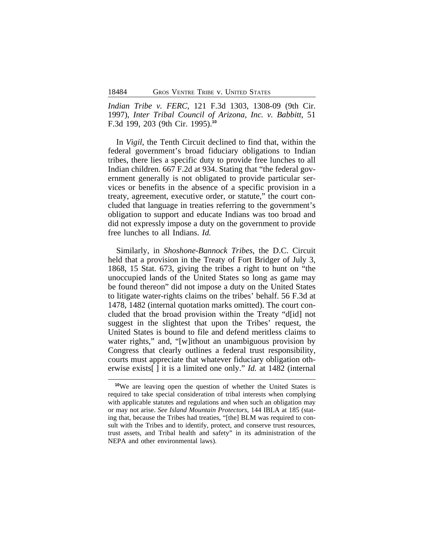*Indian Tribe v. FERC*, 121 F.3d 1303, 1308-09 (9th Cir. 1997), *Inter Tribal Council of Arizona, Inc. v. Babbitt*, 51 F.3d 199, 203 (9th Cir. 1995).**<sup>10</sup>**

In *Vigil*, the Tenth Circuit declined to find that, within the federal government's broad fiduciary obligations to Indian tribes, there lies a specific duty to provide free lunches to all Indian children. 667 F.2d at 934. Stating that "the federal government generally is not obligated to provide particular services or benefits in the absence of a specific provision in a treaty, agreement, executive order, or statute," the court concluded that language in treaties referring to the government's obligation to support and educate Indians was too broad and did not expressly impose a duty on the government to provide free lunches to all Indians. *Id.* 

Similarly, in *Shoshone-Bannock Tribes*, the D.C. Circuit held that a provision in the Treaty of Fort Bridger of July 3, 1868, 15 Stat. 673, giving the tribes a right to hunt on "the unoccupied lands of the United States so long as game may be found thereon" did not impose a duty on the United States to litigate water-rights claims on the tribes' behalf. 56 F.3d at 1478, 1482 (internal quotation marks omitted). The court concluded that the broad provision within the Treaty "d[id] not suggest in the slightest that upon the Tribes' request, the United States is bound to file and defend meritless claims to water rights," and, "[w]ithout an unambiguous provision by Congress that clearly outlines a federal trust responsibility, courts must appreciate that whatever fiduciary obligation otherwise exists[ ] it is a limited one only." *Id.* at 1482 (internal

**<sup>10</sup>**We are leaving open the question of whether the United States is required to take special consideration of tribal interests when complying with applicable statutes and regulations and when such an obligation may or may not arise. *See Island Mountain Protectors*, 144 IBLA at 185 (stating that, because the Tribes had treaties, "[the] BLM was required to consult with the Tribes and to identify, protect, and conserve trust resources, trust assets, and Tribal health and safety" in its administration of the NEPA and other environmental laws).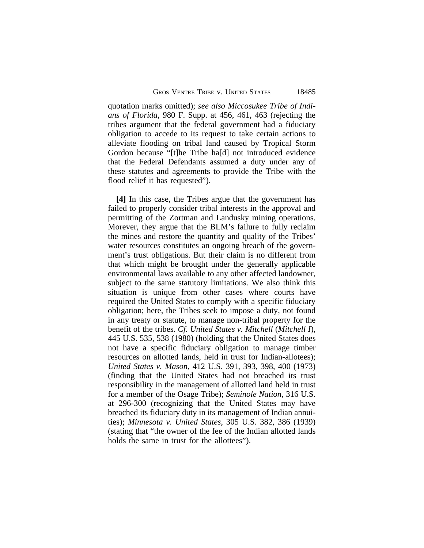quotation marks omitted); *see also Miccosukee Tribe of Indians of Florida*, 980 F. Supp. at 456, 461, 463 (rejecting the tribes argument that the federal government had a fiduciary obligation to accede to its request to take certain actions to alleviate flooding on tribal land caused by Tropical Storm Gordon because "[t]he Tribe ha[d] not introduced evidence that the Federal Defendants assumed a duty under any of these statutes and agreements to provide the Tribe with the flood relief it has requested").

**[4]** In this case, the Tribes argue that the government has failed to properly consider tribal interests in the approval and permitting of the Zortman and Landusky mining operations. Morever, they argue that the BLM's failure to fully reclaim the mines and restore the quantity and quality of the Tribes' water resources constitutes an ongoing breach of the government's trust obligations. But their claim is no different from that which might be brought under the generally applicable environmental laws available to any other affected landowner, subject to the same statutory limitations. We also think this situation is unique from other cases where courts have required the United States to comply with a specific fiduciary obligation; here, the Tribes seek to impose a duty, not found in any treaty or statute, to manage non-tribal property for the benefit of the tribes. *Cf. United States v. Mitchell* (*Mitchell I*), 445 U.S. 535, 538 (1980) (holding that the United States does not have a specific fiduciary obligation to manage timber resources on allotted lands, held in trust for Indian-allotees); *United States v. Mason*, 412 U.S. 391, 393, 398, 400 (1973) (finding that the United States had not breached its trust responsibility in the management of allotted land held in trust for a member of the Osage Tribe); *Seminole Nation*, 316 U.S. at 296-300 (recognizing that the United States may have breached its fiduciary duty in its management of Indian annuities); *Minnesota v. United States*, 305 U.S. 382, 386 (1939) (stating that "the owner of the fee of the Indian allotted lands holds the same in trust for the allottees").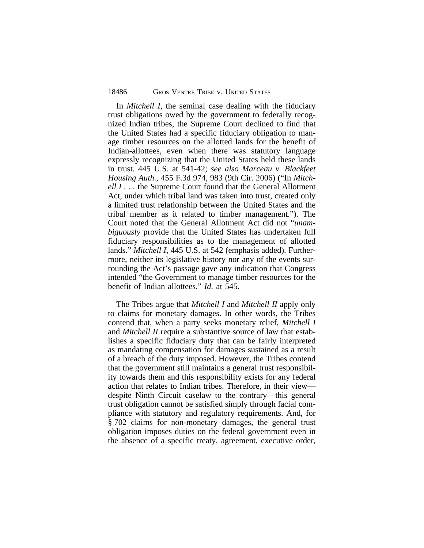In *Mitchell I*, the seminal case dealing with the fiduciary trust obligations owed by the government to federally recognized Indian tribes, the Supreme Court declined to find that the United States had a specific fiduciary obligation to manage timber resources on the allotted lands for the benefit of Indian-allottees, even when there was statutory language expressly recognizing that the United States held these lands in trust. 445 U.S. at 541-42; *see also Marceau v. Blackfeet Housing Auth.*, 455 F.3d 974, 983 (9th Cir. 2006) ("In *Mitchell I...* the Supreme Court found that the General Allotment Act, under which tribal land was taken into trust, created only a limited trust relationship between the United States and the tribal member as it related to timber management."). The Court noted that the General Allotment Act did not "*unambiguously* provide that the United States has undertaken full fiduciary responsibilities as to the management of allotted lands." *Mitchell I*, 445 U.S. at 542 (emphasis added). Furthermore, neither its legislative history nor any of the events surrounding the Act's passage gave any indication that Congress intended "the Government to manage timber resources for the benefit of Indian allottees." *Id.* at 545.

The Tribes argue that *Mitchell I* and *Mitchell II* apply only to claims for monetary damages. In other words, the Tribes contend that, when a party seeks monetary relief, *Mitchell I* and *Mitchell II* require a substantive source of law that establishes a specific fiduciary duty that can be fairly interpreted as mandating compensation for damages sustained as a result of a breach of the duty imposed. However, the Tribes contend that the government still maintains a general trust responsibility towards them and this responsibility exists for any federal action that relates to Indian tribes. Therefore, in their view despite Ninth Circuit caselaw to the contrary—this general trust obligation cannot be satisfied simply through facial compliance with statutory and regulatory requirements. And, for § 702 claims for non-monetary damages, the general trust obligation imposes duties on the federal government even in the absence of a specific treaty, agreement, executive order,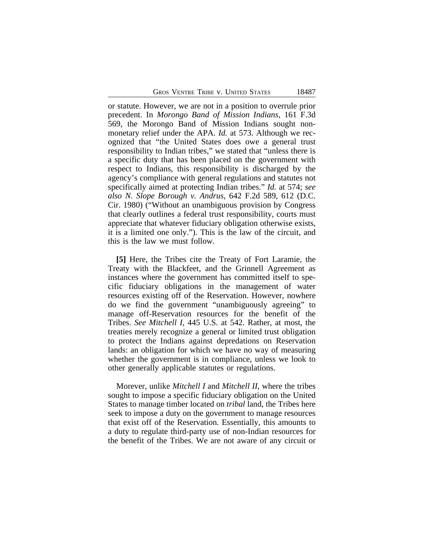or statute. However, we are not in a position to overrule prior precedent. In *Morongo Band of Mission Indians*, 161 F.3d 569, the Morongo Band of Mission Indians sought nonmonetary relief under the APA. *Id.* at 573. Although we recognized that "the United States does owe a general trust responsibility to Indian tribes," we stated that "unless there is a specific duty that has been placed on the government with respect to Indians, this responsibility is discharged by the agency's compliance with general regulations and statutes not specifically aimed at protecting Indian tribes." *Id.* at 574; *see also N. Slope Borough v. Andrus*, 642 F.2d 589, 612 (D.C. Cir. 1980) ("Without an unambiguous provision by Congress that clearly outlines a federal trust responsibility, courts must appreciate that whatever fiduciary obligation otherwise exists, it is a limited one only."). This is the law of the circuit, and this is the law we must follow.

**[5]** Here, the Tribes cite the Treaty of Fort Laramie, the Treaty with the Blackfeet, and the Grinnell Agreement as instances where the government has committed itself to specific fiduciary obligations in the management of water resources existing off of the Reservation. However, nowhere do we find the government "unambiguously agreeing" to manage off-Reservation resources for the benefit of the Tribes. *See Mitchell I*, 445 U.S. at 542. Rather, at most, the treaties merely recognize a general or limited trust obligation to protect the Indians against depredations on Reservation lands: an obligation for which we have no way of measuring whether the government is in compliance, unless we look to other generally applicable statutes or regulations.

Morever, unlike *Mitchell I* and *Mitchell II*, where the tribes sought to impose a specific fiduciary obligation on the United States to manage timber located on *tribal* land, the Tribes here seek to impose a duty on the government to manage resources that exist off of the Reservation. Essentially, this amounts to a duty to regulate third-party use of non-Indian resources for the benefit of the Tribes. We are not aware of any circuit or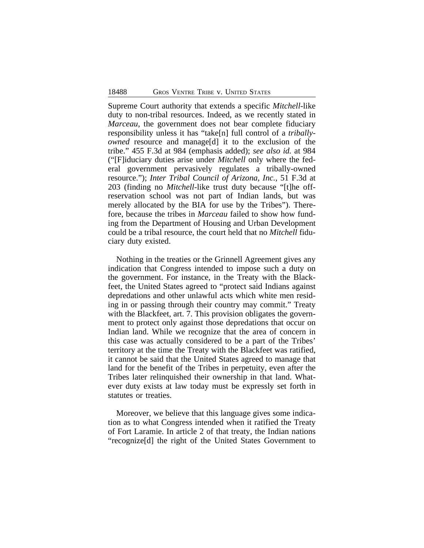Supreme Court authority that extends a specific *Mitchell*-like duty to non-tribal resources. Indeed, as we recently stated in *Marceau*, the government does not bear complete fiduciary responsibility unless it has "take[n] full control of a *triballyowned* resource and manage[d] it to the exclusion of the tribe." 455 F.3d at 984 (emphasis added); *see also id.* at 984 ("[F]iduciary duties arise under *Mitchell* only where the federal government pervasively regulates a tribally-owned resource."); *Inter Tribal Council of Arizona, Inc.,* 51 F.3d at 203 (finding no *Mitchell*-like trust duty because "[t]he offreservation school was not part of Indian lands, but was merely allocated by the BIA for use by the Tribes"). Therefore, because the tribes in *Marceau* failed to show how funding from the Department of Housing and Urban Development could be a tribal resource, the court held that no *Mitchell* fiduciary duty existed.

Nothing in the treaties or the Grinnell Agreement gives any indication that Congress intended to impose such a duty on the government. For instance, in the Treaty with the Blackfeet, the United States agreed to "protect said Indians against depredations and other unlawful acts which white men residing in or passing through their country may commit." Treaty with the Blackfeet, art. 7. This provision obligates the government to protect only against those depredations that occur on Indian land. While we recognize that the area of concern in this case was actually considered to be a part of the Tribes' territory at the time the Treaty with the Blackfeet was ratified, it cannot be said that the United States agreed to manage that land for the benefit of the Tribes in perpetuity, even after the Tribes later relinquished their ownership in that land. Whatever duty exists at law today must be expressly set forth in statutes or treaties.

Moreover, we believe that this language gives some indication as to what Congress intended when it ratified the Treaty of Fort Laramie. In article 2 of that treaty, the Indian nations "recognize[d] the right of the United States Government to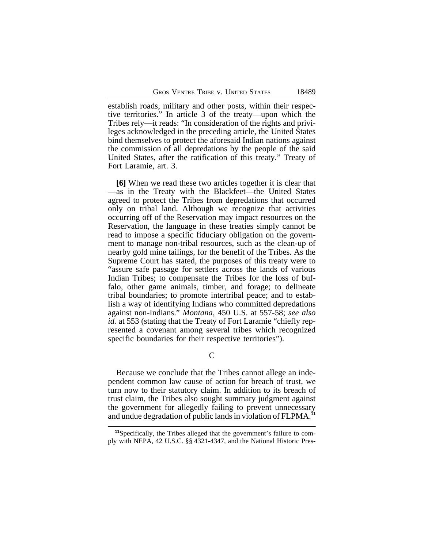establish roads, military and other posts, within their respective territories." In article 3 of the treaty—upon which the Tribes rely—it reads: "In consideration of the rights and privileges acknowledged in the preceding article, the United States bind themselves to protect the aforesaid Indian nations against the commission of all depredations by the people of the said United States, after the ratification of this treaty." Treaty of Fort Laramie, art. 3.

**[6]** When we read these two articles together it is clear that —as in the Treaty with the Blackfeet—the United States agreed to protect the Tribes from depredations that occurred only on tribal land. Although we recognize that activities occurring off of the Reservation may impact resources on the Reservation, the language in these treaties simply cannot be read to impose a specific fiduciary obligation on the government to manage non-tribal resources, such as the clean-up of nearby gold mine tailings, for the benefit of the Tribes. As the Supreme Court has stated, the purposes of this treaty were to "assure safe passage for settlers across the lands of various Indian Tribes; to compensate the Tribes for the loss of buffalo, other game animals, timber, and forage; to delineate tribal boundaries; to promote intertribal peace; and to establish a way of identifying Indians who committed depredations against non-Indians." *Montana*, 450 U.S. at 557-58; *see also id.* at 553 (stating that the Treaty of Fort Laramie "chiefly represented a covenant among several tribes which recognized specific boundaries for their respective territories").

C

Because we conclude that the Tribes cannot allege an independent common law cause of action for breach of trust, we turn now to their statutory claim. In addition to its breach of trust claim, the Tribes also sought summary judgment against the government for allegedly failing to prevent unnecessary and undue degradation of public lands in violation of FLPMA.**<sup>11</sup>**

**<sup>11</sup>**Specifically, the Tribes alleged that the government's failure to comply with NEPA, 42 U.S.C. §§ 4321-4347, and the National Historic Pres-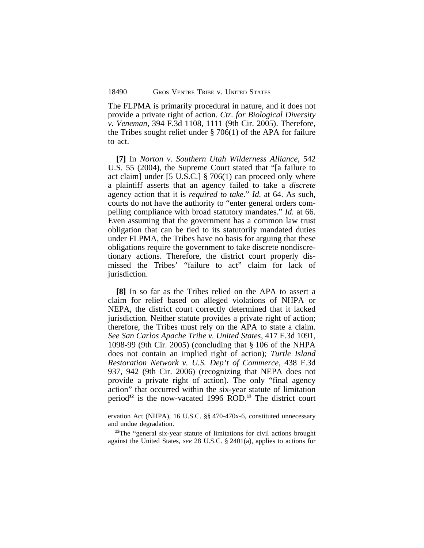The FLPMA is primarily procedural in nature, and it does not provide a private right of action. *Ctr. for Biological Diversity v. Veneman,* 394 F.3d 1108, 1111 (9th Cir. 2005). Therefore, the Tribes sought relief under § 706(1) of the APA for failure to act.

**[7]** In *Norton v. Southern Utah Wilderness Alliance*, 542 U.S. 55 (2004), the Supreme Court stated that "[a failure to act claim] under [5 U.S.C.] § 706(1) can proceed only where a plaintiff asserts that an agency failed to take a *discrete* agency action that it is *required to take*." *Id.* at 64. As such, courts do not have the authority to "enter general orders compelling compliance with broad statutory mandates." *Id.* at 66. Even assuming that the government has a common law trust obligation that can be tied to its statutorily mandated duties under FLPMA, the Tribes have no basis for arguing that these obligations require the government to take discrete nondiscretionary actions. Therefore, the district court properly dismissed the Tribes' "failure to act" claim for lack of jurisdiction.

**[8]** In so far as the Tribes relied on the APA to assert a claim for relief based on alleged violations of NHPA or NEPA, the district court correctly determined that it lacked jurisdiction. Neither statute provides a private right of action; therefore, the Tribes must rely on the APA to state a claim. *See San Carlos Apache Tribe v. United States*, 417 F.3d 1091, 1098-99 (9th Cir. 2005) (concluding that § 106 of the NHPA does not contain an implied right of action); *Turtle Island Restoration Network v. U.S. Dep't of Commerce*, 438 F.3d 937, 942 (9th Cir. 2006) (recognizing that NEPA does not provide a private right of action). The only "final agency action" that occurred within the six-year statute of limitation period**<sup>12</sup>** is the now-vacated 1996 ROD.**<sup>13</sup>** The district court

ervation Act (NHPA), 16 U.S.C. §§ 470-470x-6, constituted unnecessary and undue degradation.

**<sup>12</sup>**The "general six-year statute of limitations for civil actions brought against the United States, *see* 28 U.S.C. § 2401(a), applies to actions for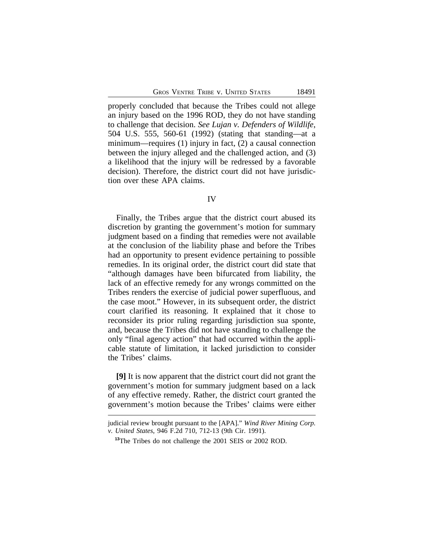properly concluded that because the Tribes could not allege an injury based on the 1996 ROD, they do not have standing to challenge that decision. *See Lujan v. Defenders of Wildlife*, 504 U.S. 555, 560-61 (1992) (stating that standing—at a minimum—requires (1) injury in fact, (2) a causal connection between the injury alleged and the challenged action, and (3) a likelihood that the injury will be redressed by a favorable decision). Therefore, the district court did not have jurisdiction over these APA claims.

#### IV

Finally, the Tribes argue that the district court abused its discretion by granting the government's motion for summary judgment based on a finding that remedies were not available at the conclusion of the liability phase and before the Tribes had an opportunity to present evidence pertaining to possible remedies. In its original order, the district court did state that "although damages have been bifurcated from liability, the lack of an effective remedy for any wrongs committed on the Tribes renders the exercise of judicial power superfluous, and the case moot." However, in its subsequent order, the district court clarified its reasoning. It explained that it chose to reconsider its prior ruling regarding jurisdiction sua sponte, and, because the Tribes did not have standing to challenge the only "final agency action" that had occurred within the applicable statute of limitation, it lacked jurisdiction to consider the Tribes' claims.

**[9]** It is now apparent that the district court did not grant the government's motion for summary judgment based on a lack of any effective remedy. Rather, the district court granted the government's motion because the Tribes' claims were either

judicial review brought pursuant to the [APA]." *Wind River Mining Corp. v. United States*, 946 F.2d 710, 712-13 (9th Cir. 1991).

**<sup>13</sup>**The Tribes do not challenge the 2001 SEIS or 2002 ROD.